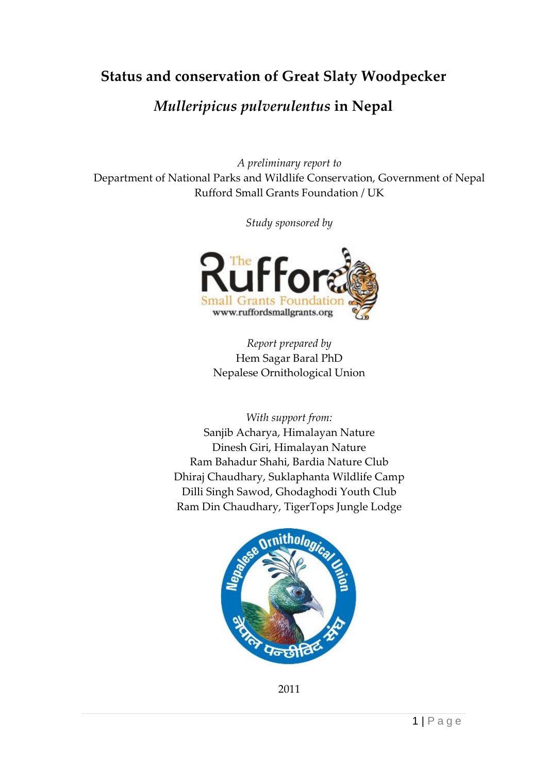## **Status and conservation of Great Slaty Woodpecker**

## *Mulleripicus pulverulentus* **in Nepal**

*A preliminary report to* Department of National Parks and Wildlife Conservation, Government of Nepal Rufford Small Grants Foundation / UK

*Study sponsored by*



*Report prepared by* Hem Sagar Baral PhD Nepalese Ornithological Union

*With support from:*

Sanjib Acharya, Himalayan Nature Dinesh Giri, Himalayan Nature Ram Bahadur Shahi, Bardia Nature Club Dhiraj Chaudhary, Suklaphanta Wildlife Camp Dilli Singh Sawod, Ghodaghodi Youth Club Ram Din Chaudhary, TigerTops Jungle Lodge



2011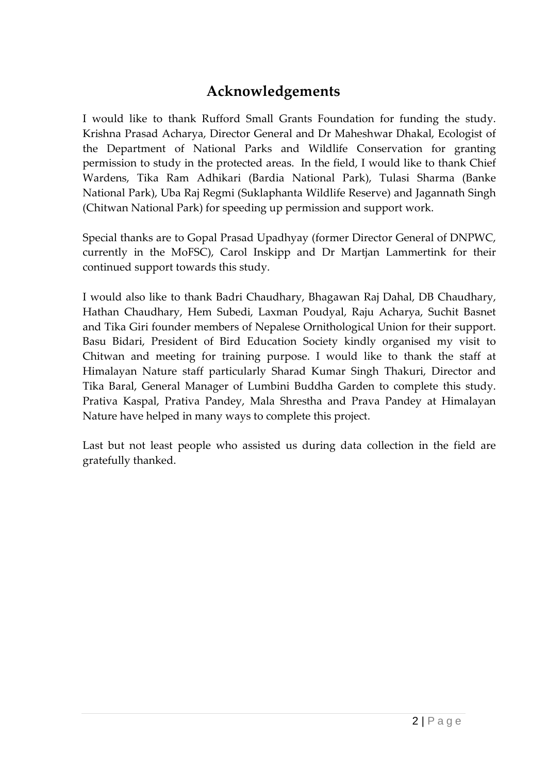## **Acknowledgements**

I would like to thank Rufford Small Grants Foundation for funding the study. Krishna Prasad Acharya, Director General and Dr Maheshwar Dhakal, Ecologist of the Department of National Parks and Wildlife Conservation for granting permission to study in the protected areas. In the field, I would like to thank Chief Wardens, Tika Ram Adhikari (Bardia National Park), Tulasi Sharma (Banke National Park), Uba Raj Regmi (Suklaphanta Wildlife Reserve) and Jagannath Singh (Chitwan National Park) for speeding up permission and support work.

Special thanks are to Gopal Prasad Upadhyay (former Director General of DNPWC, currently in the MoFSC), Carol Inskipp and Dr Martjan Lammertink for their continued support towards this study.

I would also like to thank Badri Chaudhary, Bhagawan Raj Dahal, DB Chaudhary, Hathan Chaudhary, Hem Subedi, Laxman Poudyal, Raju Acharya, Suchit Basnet and Tika Giri founder members of Nepalese Ornithological Union for their support. Basu Bidari, President of Bird Education Society kindly organised my visit to Chitwan and meeting for training purpose. I would like to thank the staff at Himalayan Nature staff particularly Sharad Kumar Singh Thakuri, Director and Tika Baral, General Manager of Lumbini Buddha Garden to complete this study. Prativa Kaspal, Prativa Pandey, Mala Shrestha and Prava Pandey at Himalayan Nature have helped in many ways to complete this project.

Last but not least people who assisted us during data collection in the field are gratefully thanked.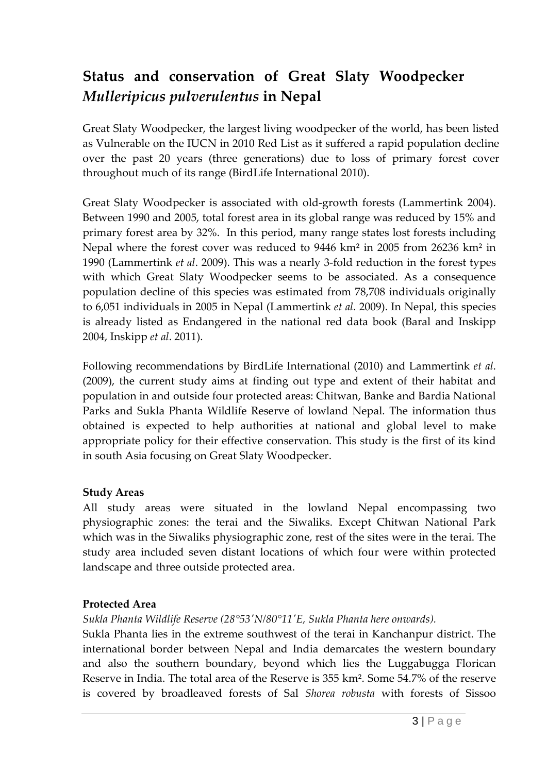# **Status and conservation of Great Slaty Woodpecker**  *Mulleripicus pulverulentus* **in Nepal**

Great Slaty Woodpecker, the largest living woodpecker of the world, has been listed as Vulnerable on the IUCN in 2010 Red List as it suffered a rapid population decline over the past 20 years (three generations) due to loss of primary forest cover throughout much of its range (BirdLife International 2010).

Great Slaty Woodpecker is associated with old-growth forests (Lammertink 2004). Between 1990 and 2005, total forest area in its global range was reduced by 15% and primary forest area by 32%. In this period, many range states lost forests including Nepal where the forest cover was reduced to 9446 km² in 2005 from 26236 km² in 1990 (Lammertink *et al*. 2009). This was a nearly 3-fold reduction in the forest types with which Great Slaty Woodpecker seems to be associated. As a consequence population decline of this species was estimated from 78,708 individuals originally to 6,051 individuals in 2005 in Nepal (Lammertink *et al*. 2009). In Nepal, this species is already listed as Endangered in the national red data book (Baral and Inskipp 2004, Inskipp *et al*. 2011).

Following recommendations by BirdLife International (2010) and Lammertink *et al*. (2009), the current study aims at finding out type and extent of their habitat and population in and outside four protected areas: Chitwan, Banke and Bardia National Parks and Sukla Phanta Wildlife Reserve of lowland Nepal. The information thus obtained is expected to help authorities at national and global level to make appropriate policy for their effective conservation. This study is the first of its kind in south Asia focusing on Great Slaty Woodpecker.

#### **Study Areas**

All study areas were situated in the lowland Nepal encompassing two physiographic zones: the terai and the Siwaliks. Except Chitwan National Park which was in the Siwaliks physiographic zone, rest of the sites were in the terai. The study area included seven distant locations of which four were within protected landscape and three outside protected area.

#### **Protected Area**

#### *Sukla Phanta Wildlife Reserve (28°53'N/80°11'E, Sukla Phanta here onwards).*

Sukla Phanta lies in the extreme southwest of the terai in Kanchanpur district. The international border between Nepal and India demarcates the western boundary and also the southern boundary, beyond which lies the Luggabugga Florican Reserve in India. The total area of the Reserve is 355 km². Some 54.7% of the reserve is covered by broadleaved forests of Sal *Shorea robusta* with forests of Sissoo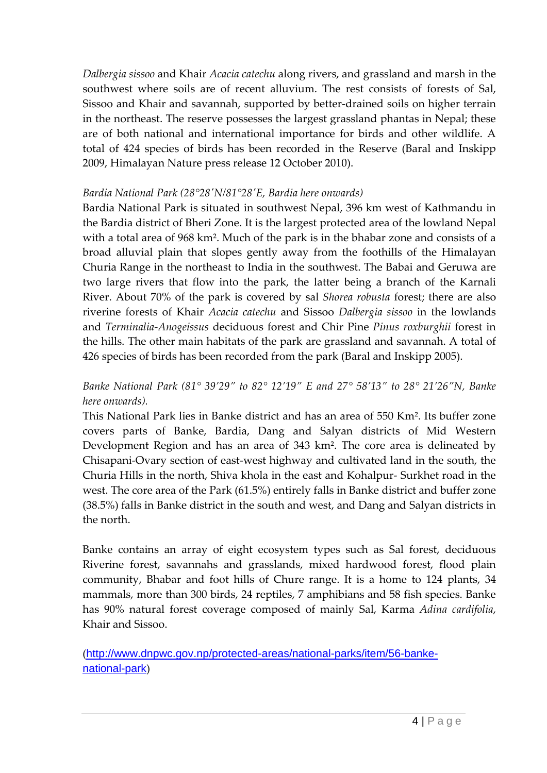*Dalbergia sissoo* and Khair *Acacia catechu* along rivers, and grassland and marsh in the southwest where soils are of recent alluvium. The rest consists of forests of Sal, Sissoo and Khair and savannah, supported by better-drained soils on higher terrain in the northeast. The reserve possesses the largest grassland phantas in Nepal; these are of both national and international importance for birds and other wildlife. A total of 424 species of birds has been recorded in the Reserve (Baral and Inskipp 2009, Himalayan Nature press release 12 October 2010).

#### *Bardia National Park (28°28'N/81°28'E, Bardia here onwards)*

Bardia National Park is situated in southwest Nepal, 396 km west of Kathmandu in the Bardia district of Bheri Zone. It is the largest protected area of the lowland Nepal with a total area of 968 km². Much of the park is in the bhabar zone and consists of a broad alluvial plain that slopes gently away from the foothills of the Himalayan Churia Range in the northeast to India in the southwest. The Babai and Geruwa are two large rivers that flow into the park, the latter being a branch of the Karnali River. About 70% of the park is covered by sal *Shorea robusta* forest; there are also riverine forests of Khair *Acacia catechu* and Sissoo *Dalbergia sissoo* in the lowlands and *Terminalia-Anogeissus* deciduous forest and Chir Pine *Pinus roxburghii* forest in the hills. The other main habitats of the park are grassland and savannah. A total of 426 species of birds has been recorded from the park (Baral and Inskipp 2005).

## *Banke National Park (81° 39'29" to 82° 12'19" E and 27° 58'13" to 28° 21'26"N, Banke here onwards).*

This National Park lies in Banke district and has an area of 550 Km². Its buffer zone covers parts of Banke, Bardia, Dang and Salyan districts of Mid Western Development Region and has an area of 343 km². The core area is delineated by Chisapani-Ovary section of east-west highway and cultivated land in the south, the Churia Hills in the north, Shiva khola in the east and Kohalpur- Surkhet road in the west. The core area of the Park (61.5%) entirely falls in Banke district and buffer zone (38.5%) falls in Banke district in the south and west, and Dang and Salyan districts in the north.

Banke contains an array of eight ecosystem types such as Sal forest, deciduous Riverine forest, savannahs and grasslands, mixed hardwood forest, flood plain community, Bhabar and foot hills of Chure range. It is a home to 124 plants, 34 mammals, more than 300 birds, 24 reptiles, 7 amphibians and 58 fish species. Banke has 90% natural forest coverage composed of mainly Sal, Karma *Adina cardifolia*, Khair and Sissoo.

([http://www.dnpwc.gov.np/protected-areas/national-parks/item/56-banke](http://www.dnpwc.gov.np/protected-areas/national-parks/item/56-banke-national-park)[national-park](http://www.dnpwc.gov.np/protected-areas/national-parks/item/56-banke-national-park))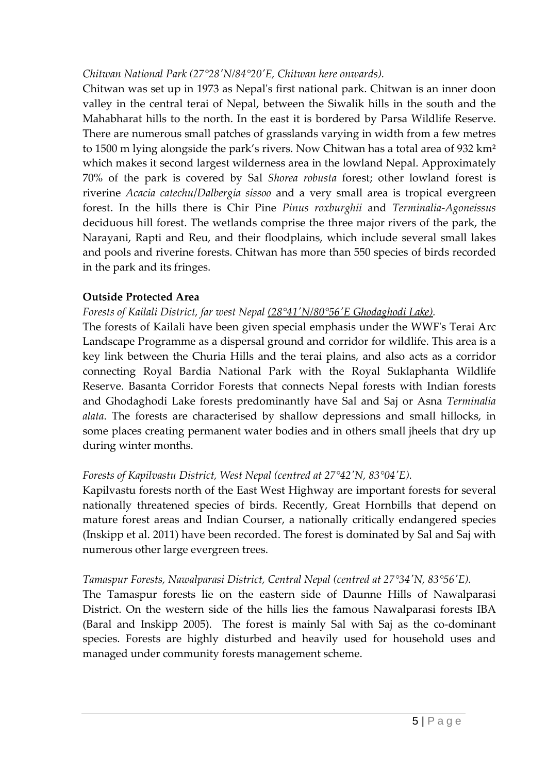#### *Chitwan National Park (27°28'N/84°20'E, Chitwan here onwards).*

Chitwan was set up in 1973 as Nepal's first national park. Chitwan is an inner doon valley in the central terai of Nepal, between the Siwalik hills in the south and the Mahabharat hills to the north. In the east it is bordered by Parsa Wildlife Reserve. There are numerous small patches of grasslands varying in width from a few metres to 1500 m lying alongside the park's rivers. Now Chitwan has a total area of 932 km² which makes it second largest wilderness area in the lowland Nepal. Approximately 70% of the park is covered by Sal *Shorea robusta* forest; other lowland forest is riverine *Acacia catechu*/*Dalbergia sissoo* and a very small area is tropical evergreen forest. In the hills there is Chir Pine *Pinus roxburghii* and *Terminalia-Agoneissus* deciduous hill forest. The wetlands comprise the three major rivers of the park, the Narayani, Rapti and Reu, and their floodplains, which include several small lakes and pools and riverine forests. Chitwan has more than 550 species of birds recorded in the park and its fringes.

## **Outside Protected Area**

*Forests of Kailali District, far west Nepal (28°41'N/80°56'E Ghodaghodi Lake).* 

The forests of Kailali have been given special emphasis under the WWF's Terai Arc Landscape Programme as a dispersal ground and corridor for wildlife. This area is a key link between the Churia Hills and the terai plains, and also acts as a corridor connecting Royal Bardia National Park with the Royal Suklaphanta Wildlife Reserve. Basanta Corridor Forests that connects Nepal forests with Indian forests and Ghodaghodi Lake forests predominantly have Sal and Saj or Asna *Terminalia alata*. The forests are characterised by shallow depressions and small hillocks, in some places creating permanent water bodies and in others small jheels that dry up during winter months.

## *Forests of Kapilvastu District, West Nepal (centred at 27°42'N, 83°04'E).*

Kapilvastu forests north of the East West Highway are important forests for several nationally threatened species of birds. Recently, Great Hornbills that depend on mature forest areas and Indian Courser, a nationally critically endangered species (Inskipp et al. 2011) have been recorded. The forest is dominated by Sal and Saj with numerous other large evergreen trees.

## *Tamaspur Forests, Nawalparasi District, Central Nepal (centred at 27°34'N, 83°56'E).*

The Tamaspur forests lie on the eastern side of Daunne Hills of Nawalparasi District. On the western side of the hills lies the famous Nawalparasi forests IBA (Baral and Inskipp 2005). The forest is mainly Sal with Saj as the co-dominant species. Forests are highly disturbed and heavily used for household uses and managed under community forests management scheme.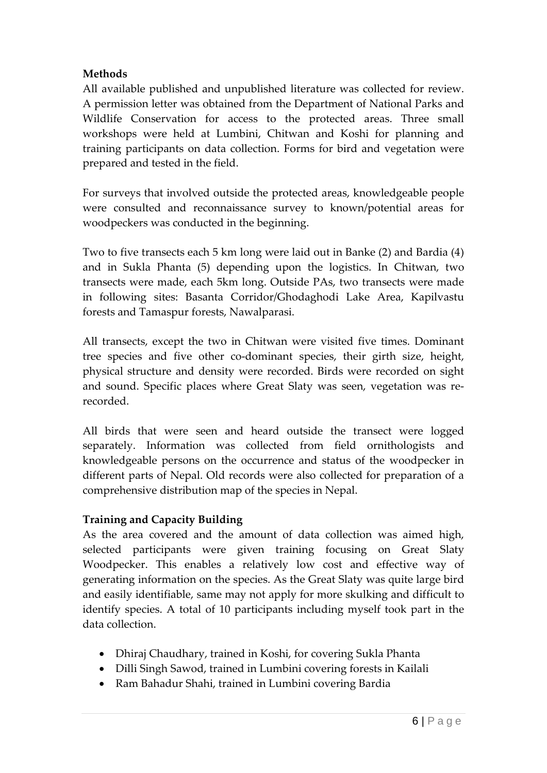#### **Methods**

All available published and unpublished literature was collected for review. A permission letter was obtained from the Department of National Parks and Wildlife Conservation for access to the protected areas. Three small workshops were held at Lumbini, Chitwan and Koshi for planning and training participants on data collection. Forms for bird and vegetation were prepared and tested in the field.

For surveys that involved outside the protected areas, knowledgeable people were consulted and reconnaissance survey to known/potential areas for woodpeckers was conducted in the beginning.

Two to five transects each 5 km long were laid out in Banke (2) and Bardia (4) and in Sukla Phanta (5) depending upon the logistics. In Chitwan, two transects were made, each 5km long. Outside PAs, two transects were made in following sites: Basanta Corridor/Ghodaghodi Lake Area, Kapilvastu forests and Tamaspur forests, Nawalparasi.

All transects, except the two in Chitwan were visited five times. Dominant tree species and five other co-dominant species, their girth size, height, physical structure and density were recorded. Birds were recorded on sight and sound. Specific places where Great Slaty was seen, vegetation was rerecorded.

All birds that were seen and heard outside the transect were logged separately. Information was collected from field ornithologists and knowledgeable persons on the occurrence and status of the woodpecker in different parts of Nepal. Old records were also collected for preparation of a comprehensive distribution map of the species in Nepal.

#### **Training and Capacity Building**

As the area covered and the amount of data collection was aimed high, selected participants were given training focusing on Great Slaty Woodpecker. This enables a relatively low cost and effective way of generating information on the species. As the Great Slaty was quite large bird and easily identifiable, same may not apply for more skulking and difficult to identify species. A total of 10 participants including myself took part in the data collection.

- Dhiraj Chaudhary, trained in Koshi, for covering Sukla Phanta
- Dilli Singh Sawod, trained in Lumbini covering forests in Kailali
- Ram Bahadur Shahi, trained in Lumbini covering Bardia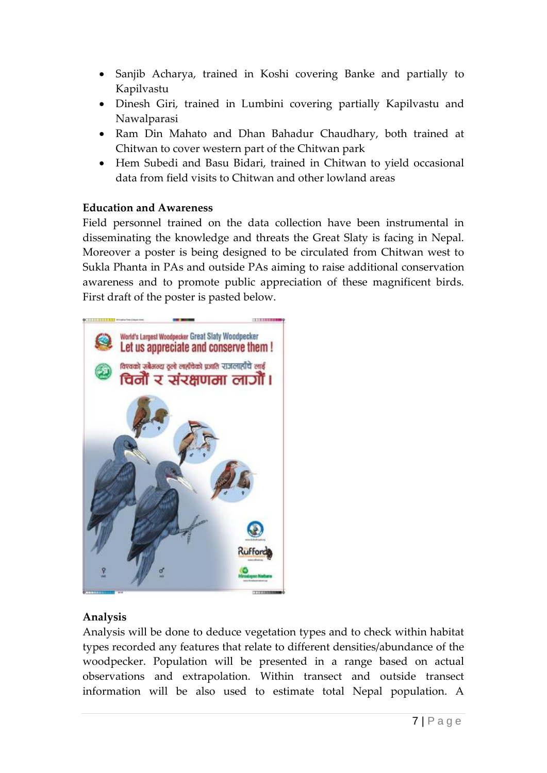- Sanjib Acharya, trained in Koshi covering Banke and partially to Kapilvastu
- Dinesh Giri, trained in Lumbini covering partially Kapilvastu and Nawalparasi
- Ram Din Mahato and Dhan Bahadur Chaudhary, both trained at Chitwan to cover western part of the Chitwan park
- Hem Subedi and Basu Bidari, trained in Chitwan to yield occasional data from field visits to Chitwan and other lowland areas

#### **Education and Awareness**

Field personnel trained on the data collection have been instrumental in disseminating the knowledge and threats the Great Slaty is facing in Nepal. Moreover a poster is being designed to be circulated from Chitwan west to Sukla Phanta in PAs and outside PAs aiming to raise additional conservation awareness and to promote public appreciation of these magnificent birds. First draft of the poster is pasted below.



## **Analysis**

Analysis will be done to deduce vegetation types and to check within habitat types recorded any features that relate to different densities/abundance of the woodpecker. Population will be presented in a range based on actual observations and extrapolation. Within transect and outside transect information will be also used to estimate total Nepal population. A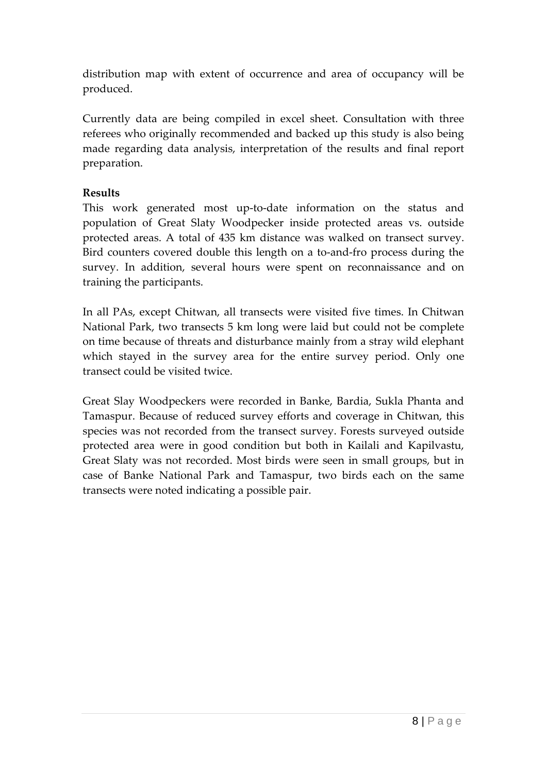distribution map with extent of occurrence and area of occupancy will be produced.

Currently data are being compiled in excel sheet. Consultation with three referees who originally recommended and backed up this study is also being made regarding data analysis, interpretation of the results and final report preparation.

## **Results**

This work generated most up-to-date information on the status and population of Great Slaty Woodpecker inside protected areas vs. outside protected areas. A total of 435 km distance was walked on transect survey. Bird counters covered double this length on a to-and-fro process during the survey. In addition, several hours were spent on reconnaissance and on training the participants.

In all PAs, except Chitwan, all transects were visited five times. In Chitwan National Park, two transects 5 km long were laid but could not be complete on time because of threats and disturbance mainly from a stray wild elephant which stayed in the survey area for the entire survey period. Only one transect could be visited twice.

Great Slay Woodpeckers were recorded in Banke, Bardia, Sukla Phanta and Tamaspur. Because of reduced survey efforts and coverage in Chitwan, this species was not recorded from the transect survey. Forests surveyed outside protected area were in good condition but both in Kailali and Kapilvastu, Great Slaty was not recorded. Most birds were seen in small groups, but in case of Banke National Park and Tamaspur, two birds each on the same transects were noted indicating a possible pair.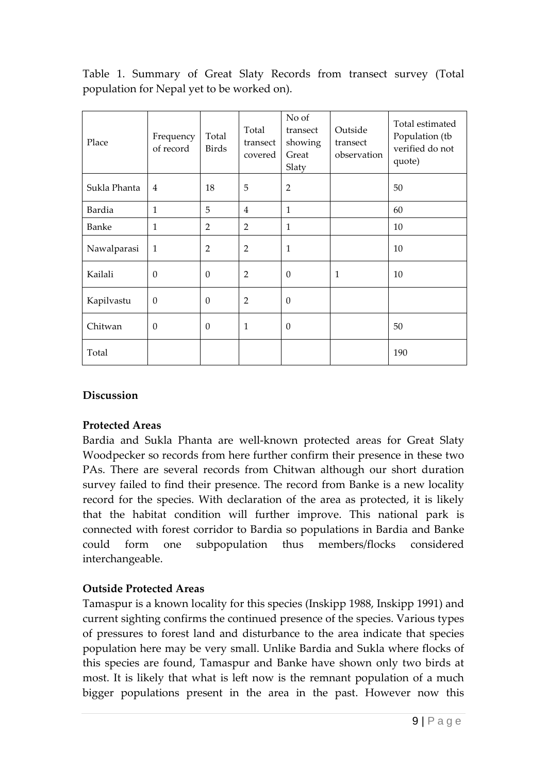Table 1. Summary of Great Slaty Records from transect survey (Total population for Nepal yet to be worked on).

| Place        | Frequency<br>of record | Total<br><b>Birds</b> | Total<br>transect<br>covered | No of<br>transect<br>showing<br>Great<br>Slaty | Outside<br>transect<br>observation | Total estimated<br>Population (tb<br>verified do not<br>quote) |
|--------------|------------------------|-----------------------|------------------------------|------------------------------------------------|------------------------------------|----------------------------------------------------------------|
| Sukla Phanta | $\overline{4}$         | 18                    | 5                            | $\overline{2}$                                 |                                    | 50                                                             |
| Bardia       | 1                      | 5                     | 4                            | $\mathbf{1}$                                   |                                    | 60                                                             |
| Banke        | 1                      | 2                     | $\overline{2}$               | $\mathbf{1}$                                   |                                    | 10                                                             |
| Nawalparasi  | $\mathbf{1}$           | $\overline{2}$        | $\overline{2}$               | $\mathbf{1}$                                   |                                    | 10                                                             |
| Kailali      | $\theta$               | $\boldsymbol{0}$      | $\overline{2}$               | $\boldsymbol{0}$                               | $\mathbf{1}$                       | 10                                                             |
| Kapilvastu   | $\theta$               | $\theta$              | $\overline{2}$               | $\theta$                                       |                                    |                                                                |
| Chitwan      | $\boldsymbol{0}$       | $\boldsymbol{0}$      | $\mathbf{1}$                 | $\boldsymbol{0}$                               |                                    | 50                                                             |
| Total        |                        |                       |                              |                                                |                                    | 190                                                            |

## **Discussion**

#### **Protected Areas**

Bardia and Sukla Phanta are well-known protected areas for Great Slaty Woodpecker so records from here further confirm their presence in these two PAs. There are several records from Chitwan although our short duration survey failed to find their presence. The record from Banke is a new locality record for the species. With declaration of the area as protected, it is likely that the habitat condition will further improve. This national park is connected with forest corridor to Bardia so populations in Bardia and Banke could form one subpopulation thus members/flocks considered interchangeable.

## **Outside Protected Areas**

Tamaspur is a known locality for this species (Inskipp 1988, Inskipp 1991) and current sighting confirms the continued presence of the species. Various types of pressures to forest land and disturbance to the area indicate that species population here may be very small. Unlike Bardia and Sukla where flocks of this species are found, Tamaspur and Banke have shown only two birds at most. It is likely that what is left now is the remnant population of a much bigger populations present in the area in the past. However now this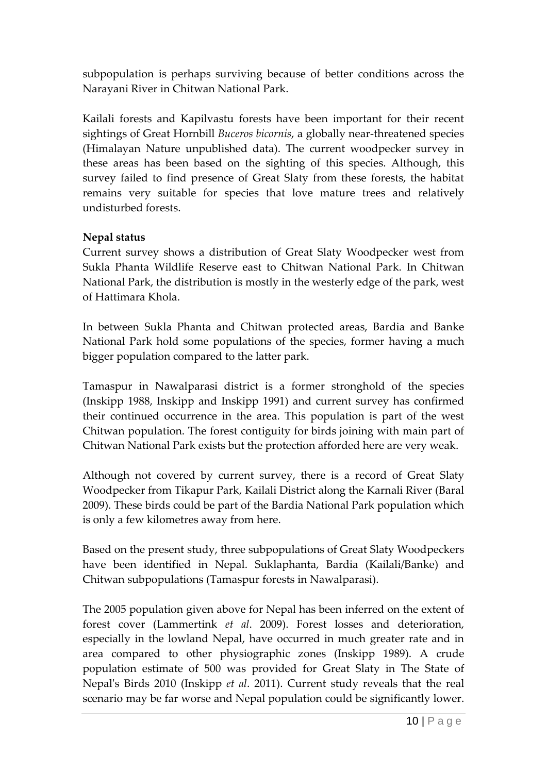subpopulation is perhaps surviving because of better conditions across the Narayani River in Chitwan National Park.

Kailali forests and Kapilvastu forests have been important for their recent sightings of Great Hornbill *Buceros bicornis*, a globally near-threatened species (Himalayan Nature unpublished data). The current woodpecker survey in these areas has been based on the sighting of this species. Although, this survey failed to find presence of Great Slaty from these forests, the habitat remains very suitable for species that love mature trees and relatively undisturbed forests.

## **Nepal status**

Current survey shows a distribution of Great Slaty Woodpecker west from Sukla Phanta Wildlife Reserve east to Chitwan National Park. In Chitwan National Park, the distribution is mostly in the westerly edge of the park, west of Hattimara Khola.

In between Sukla Phanta and Chitwan protected areas, Bardia and Banke National Park hold some populations of the species, former having a much bigger population compared to the latter park.

Tamaspur in Nawalparasi district is a former stronghold of the species (Inskipp 1988, Inskipp and Inskipp 1991) and current survey has confirmed their continued occurrence in the area. This population is part of the west Chitwan population. The forest contiguity for birds joining with main part of Chitwan National Park exists but the protection afforded here are very weak.

Although not covered by current survey, there is a record of Great Slaty Woodpecker from Tikapur Park, Kailali District along the Karnali River (Baral 2009). These birds could be part of the Bardia National Park population which is only a few kilometres away from here.

Based on the present study, three subpopulations of Great Slaty Woodpeckers have been identified in Nepal. Suklaphanta, Bardia (Kailali/Banke) and Chitwan subpopulations (Tamaspur forests in Nawalparasi).

The 2005 population given above for Nepal has been inferred on the extent of forest cover (Lammertink *et al*. 2009). Forest losses and deterioration, especially in the lowland Nepal, have occurred in much greater rate and in area compared to other physiographic zones (Inskipp 1989). A crude population estimate of 500 was provided for Great Slaty in The State of Nepal's Birds 2010 (Inskipp *et al*. 2011). Current study reveals that the real scenario may be far worse and Nepal population could be significantly lower.